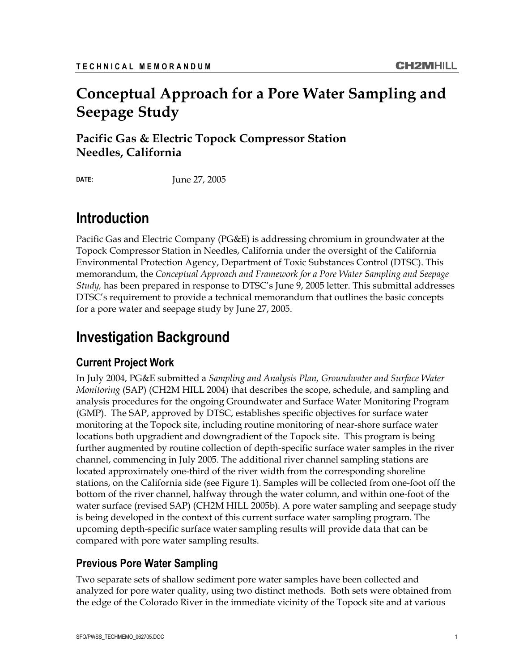## **Conceptual Approach for a Pore Water Sampling and Seepage Study**

**Pacific Gas & Electric Topock Compressor Station Needles, California** 

**DATE:** June 27, 2005

## **Introduction**

Pacific Gas and Electric Company (PG&E) is addressing chromium in groundwater at the Topock Compressor Station in Needles, California under the oversight of the California Environmental Protection Agency, Department of Toxic Substances Control (DTSC). This memorandum, the *Conceptual Approach and Framework for a Pore Water Sampling and Seepage Study,* has been prepared in response to DTSC's June 9, 2005 letter. This submittal addresses DTSC's requirement to provide a technical memorandum that outlines the basic concepts for a pore water and seepage study by June 27, 2005.

# **Investigation Background**

## **Current Project Work**

In July 2004, PG&E submitted a *Sampling and Analysis Plan, Groundwater and Surface Water Monitoring* (SAP) (CH2M HILL 2004) that describes the scope, schedule, and sampling and analysis procedures for the ongoing Groundwater and Surface Water Monitoring Program (GMP). The SAP, approved by DTSC, establishes specific objectives for surface water monitoring at the Topock site, including routine monitoring of near-shore surface water locations both upgradient and downgradient of the Topock site. This program is being further augmented by routine collection of depth-specific surface water samples in the river channel, commencing in July 2005. The additional river channel sampling stations are located approximately one-third of the river width from the corresponding shoreline stations, on the California side (see Figure 1). Samples will be collected from one-foot off the bottom of the river channel, halfway through the water column, and within one-foot of the water surface (revised SAP) (CH2M HILL 2005b). A pore water sampling and seepage study is being developed in the context of this current surface water sampling program. The upcoming depth-specific surface water sampling results will provide data that can be compared with pore water sampling results.

## **Previous Pore Water Sampling**

Two separate sets of shallow sediment pore water samples have been collected and analyzed for pore water quality, using two distinct methods. Both sets were obtained from the edge of the Colorado River in the immediate vicinity of the Topock site and at various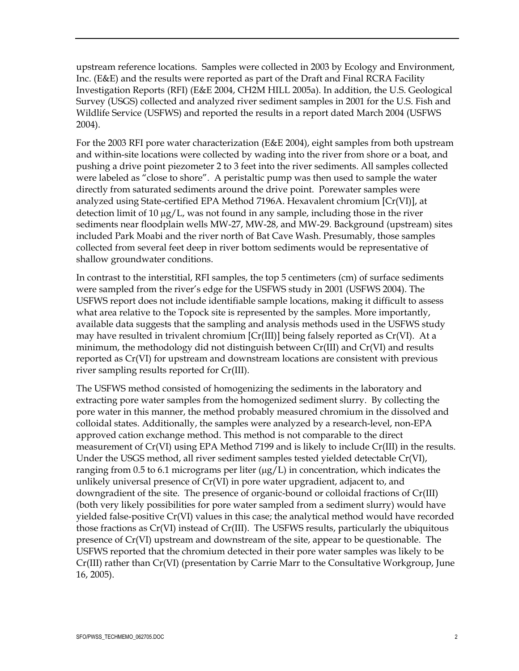upstream reference locations. Samples were collected in 2003 by Ecology and Environment, Inc. (E&E) and the results were reported as part of the Draft and Final RCRA Facility Investigation Reports (RFI) (E&E 2004, CH2M HILL 2005a). In addition, the U.S. Geological Survey (USGS) collected and analyzed river sediment samples in 2001 for the U.S. Fish and Wildlife Service (USFWS) and reported the results in a report dated March 2004 (USFWS 2004).

For the 2003 RFI pore water characterization (E&E 2004), eight samples from both upstream and within-site locations were collected by wading into the river from shore or a boat, and pushing a drive point piezometer 2 to 3 feet into the river sediments. All samples collected were labeled as "close to shore". A peristaltic pump was then used to sample the water directly from saturated sediments around the drive point. Porewater samples were analyzed using State-certified EPA Method 7196A. Hexavalent chromium [Cr(VI)], at detection limit of 10  $\mu$ g/L, was not found in any sample, including those in the river sediments near floodplain wells MW-27, MW-28, and MW-29. Background (upstream) sites included Park Moabi and the river north of Bat Cave Wash. Presumably, those samples collected from several feet deep in river bottom sediments would be representative of shallow groundwater conditions.

In contrast to the interstitial, RFI samples, the top 5 centimeters (cm) of surface sediments were sampled from the river's edge for the USFWS study in 2001 (USFWS 2004). The USFWS report does not include identifiable sample locations, making it difficult to assess what area relative to the Topock site is represented by the samples. More importantly, available data suggests that the sampling and analysis methods used in the USFWS study may have resulted in trivalent chromium [Cr(III)] being falsely reported as Cr(VI). At a minimum, the methodology did not distinguish between Cr(III) and Cr(VI) and results reported as Cr(VI) for upstream and downstream locations are consistent with previous river sampling results reported for Cr(III).

The USFWS method consisted of homogenizing the sediments in the laboratory and extracting pore water samples from the homogenized sediment slurry. By collecting the pore water in this manner, the method probably measured chromium in the dissolved and colloidal states. Additionally, the samples were analyzed by a research-level, non-EPA approved cation exchange method. This method is not comparable to the direct measurement of Cr(VI) using EPA Method 7199 and is likely to include Cr(III) in the results. Under the USGS method, all river sediment samples tested yielded detectable Cr(VI), ranging from 0.5 to 6.1 micrograms per liter  $(\mu g/L)$  in concentration, which indicates the unlikely universal presence of Cr(VI) in pore water upgradient, adjacent to, and downgradient of the site. The presence of organic-bound or colloidal fractions of Cr(III) (both very likely possibilities for pore water sampled from a sediment slurry) would have yielded false-positive Cr(VI) values in this case; the analytical method would have recorded those fractions as Cr(VI) instead of Cr(III). The USFWS results, particularly the ubiquitous presence of Cr(VI) upstream and downstream of the site, appear to be questionable. The USFWS reported that the chromium detected in their pore water samples was likely to be Cr(III) rather than Cr(VI) (presentation by Carrie Marr to the Consultative Workgroup, June 16, 2005).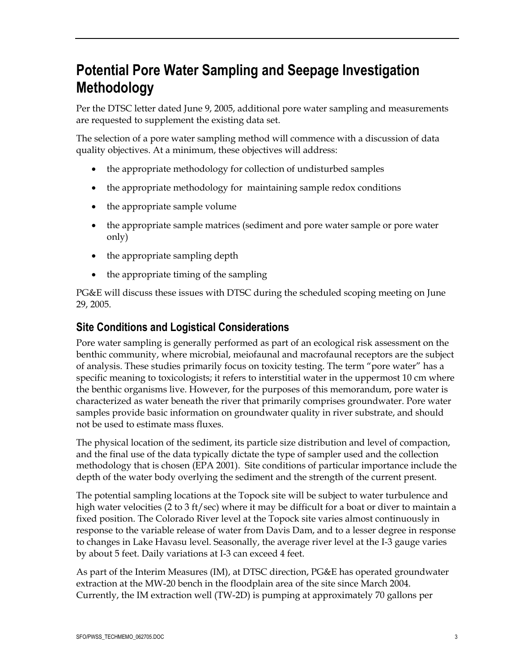# **Potential Pore Water Sampling and Seepage Investigation Methodology**

Per the DTSC letter dated June 9, 2005, additional pore water sampling and measurements are requested to supplement the existing data set.

The selection of a pore water sampling method will commence with a discussion of data quality objectives. At a minimum, these objectives will address:

- the appropriate methodology for collection of undisturbed samples
- the appropriate methodology for maintaining sample redox conditions
- the appropriate sample volume
- the appropriate sample matrices (sediment and pore water sample or pore water only)
- the appropriate sampling depth
- the appropriate timing of the sampling

PG&E will discuss these issues with DTSC during the scheduled scoping meeting on June 29, 2005.

### **Site Conditions and Logistical Considerations**

Pore water sampling is generally performed as part of an ecological risk assessment on the benthic community, where microbial, meiofaunal and macrofaunal receptors are the subject of analysis. These studies primarily focus on toxicity testing. The term "pore water" has a specific meaning to toxicologists; it refers to interstitial water in the uppermost 10 cm where the benthic organisms live. However, for the purposes of this memorandum, pore water is characterized as water beneath the river that primarily comprises groundwater. Pore water samples provide basic information on groundwater quality in river substrate, and should not be used to estimate mass fluxes.

The physical location of the sediment, its particle size distribution and level of compaction, and the final use of the data typically dictate the type of sampler used and the collection methodology that is chosen (EPA 2001). Site conditions of particular importance include the depth of the water body overlying the sediment and the strength of the current present.

The potential sampling locations at the Topock site will be subject to water turbulence and high water velocities (2 to 3 ft/sec) where it may be difficult for a boat or diver to maintain a fixed position. The Colorado River level at the Topock site varies almost continuously in response to the variable release of water from Davis Dam, and to a lesser degree in response to changes in Lake Havasu level. Seasonally, the average river level at the I-3 gauge varies by about 5 feet. Daily variations at I-3 can exceed 4 feet.

As part of the Interim Measures (IM), at DTSC direction, PG&E has operated groundwater extraction at the MW-20 bench in the floodplain area of the site since March 2004. Currently, the IM extraction well (TW-2D) is pumping at approximately 70 gallons per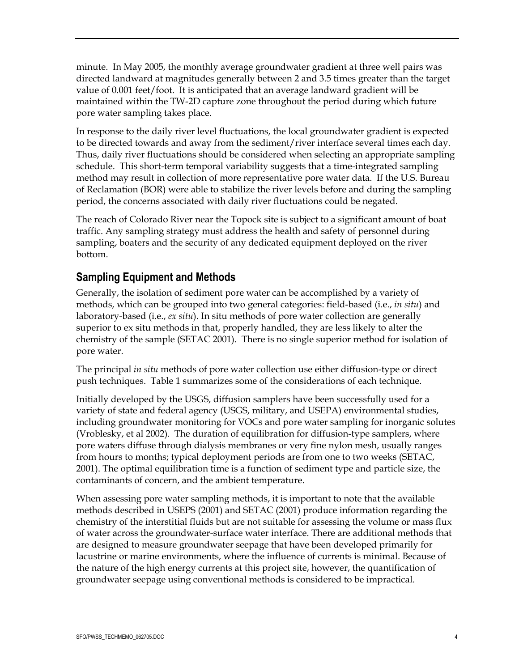minute. In May 2005, the monthly average groundwater gradient at three well pairs was directed landward at magnitudes generally between 2 and 3.5 times greater than the target value of 0.001 feet/foot. It is anticipated that an average landward gradient will be maintained within the TW-2D capture zone throughout the period during which future pore water sampling takes place.

In response to the daily river level fluctuations, the local groundwater gradient is expected to be directed towards and away from the sediment/river interface several times each day. Thus, daily river fluctuations should be considered when selecting an appropriate sampling schedule. This short-term temporal variability suggests that a time-integrated sampling method may result in collection of more representative pore water data. If the U.S. Bureau of Reclamation (BOR) were able to stabilize the river levels before and during the sampling period, the concerns associated with daily river fluctuations could be negated.

The reach of Colorado River near the Topock site is subject to a significant amount of boat traffic. Any sampling strategy must address the health and safety of personnel during sampling, boaters and the security of any dedicated equipment deployed on the river bottom.

### **Sampling Equipment and Methods**

Generally, the isolation of sediment pore water can be accomplished by a variety of methods, which can be grouped into two general categories: field-based (i.e., *in situ*) and laboratory-based (i.e., *ex situ*). In situ methods of pore water collection are generally superior to ex situ methods in that, properly handled, they are less likely to alter the chemistry of the sample (SETAC 2001). There is no single superior method for isolation of pore water.

The principal *in situ* methods of pore water collection use either diffusion-type or direct push techniques. Table 1 summarizes some of the considerations of each technique.

Initially developed by the USGS, diffusion samplers have been successfully used for a variety of state and federal agency (USGS, military, and USEPA) environmental studies, including groundwater monitoring for VOCs and pore water sampling for inorganic solutes (Vroblesky, et al 2002). The duration of equilibration for diffusion-type samplers, where pore waters diffuse through dialysis membranes or very fine nylon mesh, usually ranges from hours to months; typical deployment periods are from one to two weeks (SETAC, 2001). The optimal equilibration time is a function of sediment type and particle size, the contaminants of concern, and the ambient temperature.

When assessing pore water sampling methods, it is important to note that the available methods described in USEPS (2001) and SETAC (2001) produce information regarding the chemistry of the interstitial fluids but are not suitable for assessing the volume or mass flux of water across the groundwater-surface water interface. There are additional methods that are designed to measure groundwater seepage that have been developed primarily for lacustrine or marine environments, where the influence of currents is minimal. Because of the nature of the high energy currents at this project site, however, the quantification of groundwater seepage using conventional methods is considered to be impractical.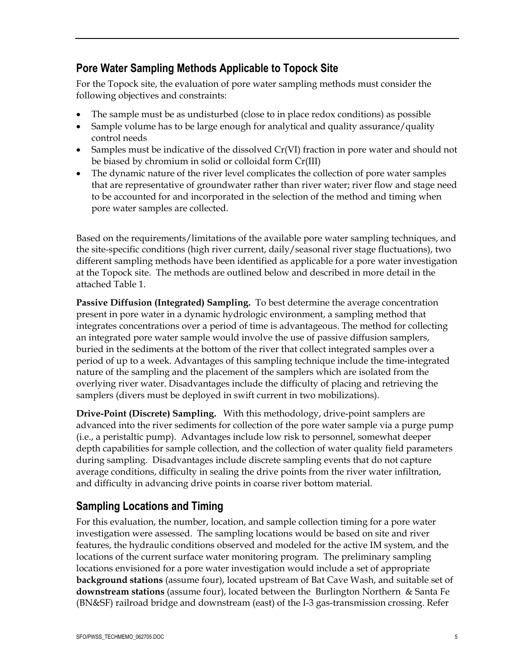### **Pore Water Sampling Methods Applicable to Topock Site**

For the Topock site, the evaluation of pore water sampling methods must consider the following objectives and constraints:

- The sample must be as undisturbed (close to in place redox conditions) as possible
- Sample volume has to be large enough for analytical and quality assurance/quality control needs
- Samples must be indicative of the dissolved Cr(VI) fraction in pore water and should not be biased by chromium in solid or colloidal form Cr(III)
- The dynamic nature of the river level complicates the collection of pore water samples that are representative of groundwater rather than river water; river flow and stage need to be accounted for and incorporated in the selection of the method and timing when pore water samples are collected.

Based on the requirements/limitations of the available pore water sampling techniques, and the site-specific conditions (high river current, daily/seasonal river stage fluctuations), two different sampling methods have been identified as applicable for a pore water investigation at the Topock site. The methods are outlined below and described in more detail in the attached Table 1.

**Passive Diffusion (Integrated) Sampling.** To best determine the average concentration present in pore water in a dynamic hydrologic environment, a sampling method that integrates concentrations over a period of time is advantageous. The method for collecting an integrated pore water sample would involve the use of passive diffusion samplers, buried in the sediments at the bottom of the river that collect integrated samples over a period of up to a week. Advantages of this sampling technique include the time-integrated nature of the sampling and the placement of the samplers which are isolated from the overlying river water. Disadvantages include the difficulty of placing and retrieving the samplers (divers must be deployed in swift current in two mobilizations).

**Drive-Point (Discrete) Sampling.** With this methodology, drive-point samplers are advanced into the river sediments for collection of the pore water sample via a purge pump (i.e., a peristaltic pump). Advantages include low risk to personnel, somewhat deeper depth capabilities for sample collection, and the collection of water quality field parameters during sampling. Disadvantages include discrete sampling events that do not capture average conditions, difficulty in sealing the drive points from the river water infiltration, and difficulty in advancing drive points in coarse river bottom material.

## **Sampling Locations and Timing**

For this evaluation, the number, location, and sample collection timing for a pore water investigation were assessed. The sampling locations would be based on site and river features, the hydraulic conditions observed and modeled for the active IM system, and the locations of the current surface water monitoring program. The preliminary sampling locations envisioned for a pore water investigation would include a set of appropriate **background stations** (assume four), located upstream of Bat Cave Wash, and suitable set of **downstream stations** (assume four), located between the Burlington Northern & Santa Fe (BN&SF) railroad bridge and downstream (east) of the I-3 gas-transmission crossing. Refer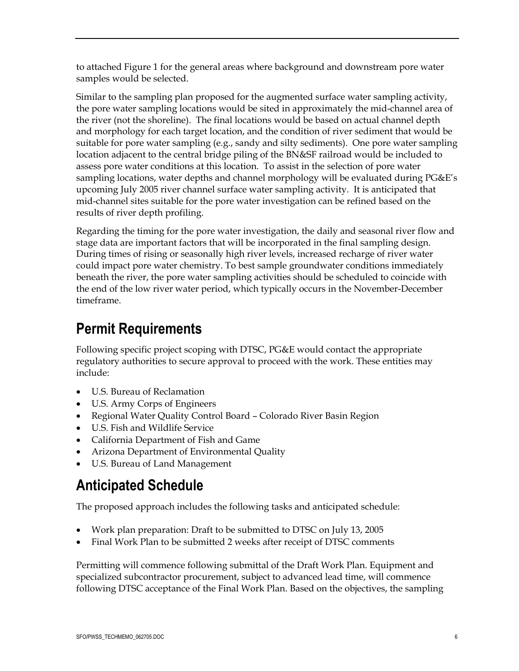to attached Figure 1 for the general areas where background and downstream pore water samples would be selected.

Similar to the sampling plan proposed for the augmented surface water sampling activity, the pore water sampling locations would be sited in approximately the mid-channel area of the river (not the shoreline). The final locations would be based on actual channel depth and morphology for each target location, and the condition of river sediment that would be suitable for pore water sampling (e.g., sandy and silty sediments). One pore water sampling location adjacent to the central bridge piling of the BN&SF railroad would be included to assess pore water conditions at this location. To assist in the selection of pore water sampling locations, water depths and channel morphology will be evaluated during PG&E's upcoming July 2005 river channel surface water sampling activity. It is anticipated that mid-channel sites suitable for the pore water investigation can be refined based on the results of river depth profiling.

Regarding the timing for the pore water investigation, the daily and seasonal river flow and stage data are important factors that will be incorporated in the final sampling design. During times of rising or seasonally high river levels, increased recharge of river water could impact pore water chemistry. To best sample groundwater conditions immediately beneath the river, the pore water sampling activities should be scheduled to coincide with the end of the low river water period, which typically occurs in the November-December timeframe.

# **Permit Requirements**

Following specific project scoping with DTSC, PG&E would contact the appropriate regulatory authorities to secure approval to proceed with the work. These entities may include:

- U.S. Bureau of Reclamation
- U.S. Army Corps of Engineers
- Regional Water Quality Control Board Colorado River Basin Region
- U.S. Fish and Wildlife Service
- California Department of Fish and Game
- Arizona Department of Environmental Quality
- U.S. Bureau of Land Management

# **Anticipated Schedule**

The proposed approach includes the following tasks and anticipated schedule:

- Work plan preparation: Draft to be submitted to DTSC on July 13, 2005
- Final Work Plan to be submitted 2 weeks after receipt of DTSC comments

Permitting will commence following submittal of the Draft Work Plan. Equipment and specialized subcontractor procurement, subject to advanced lead time, will commence following DTSC acceptance of the Final Work Plan. Based on the objectives, the sampling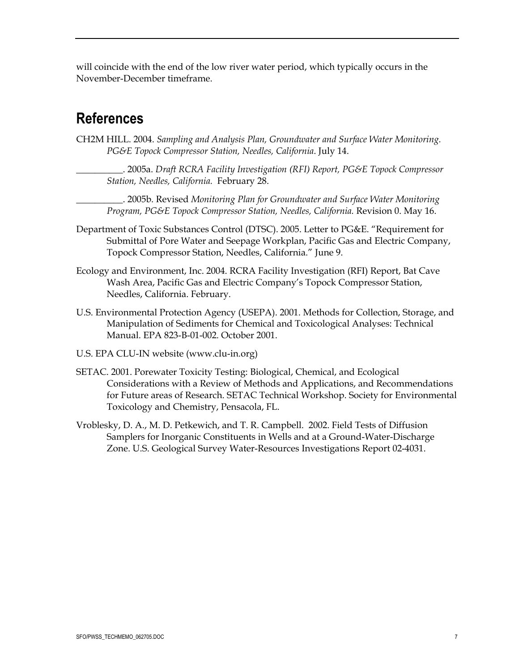will coincide with the end of the low river water period, which typically occurs in the November-December timeframe.

## **References**

- CH2M HILL. 2004. *Sampling and Analysis Plan, Groundwater and Surface Water Monitoring. PG&E Topock Compressor Station, Needles, California*. July 14.
	- \_\_\_\_\_\_\_\_\_\_. 2005a. *Draft RCRA Facility Investigation (RFI) Report, PG&E Topock Compressor Station, Needles, California.* February 28.
	- \_\_\_\_\_\_\_\_\_\_. 2005b. Revised *Monitoring Plan for Groundwater and Surface Water Monitoring Program, PG&E Topock Compressor Station, Needles, California.* Revision 0. May 16.
- Department of Toxic Substances Control (DTSC). 2005. Letter to PG&E. "Requirement for Submittal of Pore Water and Seepage Workplan, Pacific Gas and Electric Company, Topock Compressor Station, Needles, California." June 9.
- Ecology and Environment, Inc. 2004. RCRA Facility Investigation (RFI) Report, Bat Cave Wash Area, Pacific Gas and Electric Company's Topock Compressor Station, Needles, California. February.
- U.S. Environmental Protection Agency (USEPA). 2001. Methods for Collection, Storage, and Manipulation of Sediments for Chemical and Toxicological Analyses: Technical Manual. EPA 823-B-01-002. October 2001.
- U.S. EPA CLU-IN website (www.clu-in.org)
- SETAC. 2001. Porewater Toxicity Testing: Biological, Chemical, and Ecological Considerations with a Review of Methods and Applications, and Recommendations for Future areas of Research. SETAC Technical Workshop. Society for Environmental Toxicology and Chemistry, Pensacola, FL.
- Vroblesky, D. A., M. D. Petkewich, and T. R. Campbell. 2002. Field Tests of Diffusion Samplers for Inorganic Constituents in Wells and at a Ground-Water-Discharge Zone. U.S. Geological Survey Water-Resources Investigations Report 02-4031.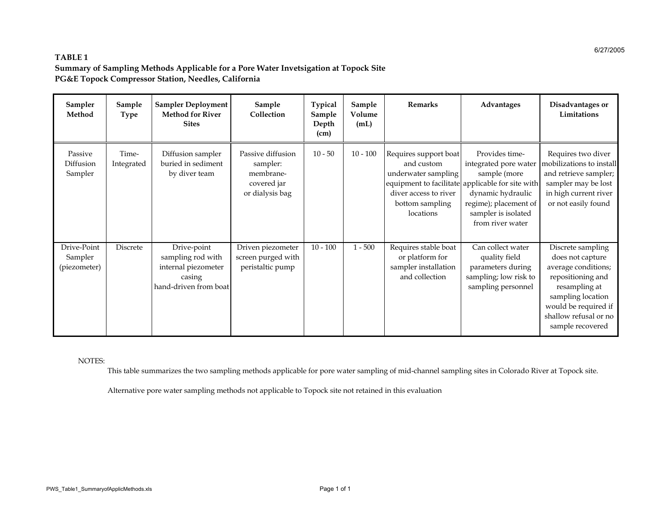#### **TABLE 1Summary of Sampling Methods Applicable for a Pore Water Invetsigation at Topock Site PG&E Topock Compressor Station, Needles, California**

| Sampler<br>Method                      | Sample<br>Type      | <b>Sampler Deployment</b><br><b>Method for River</b><br><b>Sites</b>                       | Sample<br>Collection                                                         | Typical<br>Sample<br>Depth<br>(cm) | Sample<br>Volume<br>(mL) | Remarks                                                                                                             | Advantages                                                                                                                                                                                           | Disadvantages or<br>Limitations                                                                                                                                                              |
|----------------------------------------|---------------------|--------------------------------------------------------------------------------------------|------------------------------------------------------------------------------|------------------------------------|--------------------------|---------------------------------------------------------------------------------------------------------------------|------------------------------------------------------------------------------------------------------------------------------------------------------------------------------------------------------|----------------------------------------------------------------------------------------------------------------------------------------------------------------------------------------------|
| Passive<br>Diffusion<br>Sampler        | Time-<br>Integrated | Diffusion sampler<br>buried in sediment<br>by diver team                                   | Passive diffusion<br>sampler:<br>membrane-<br>covered jar<br>or dialysis bag | $10 - 50$                          | $10 - 100$               | Requires support boat<br>and custom<br>underwater sampling<br>diver access to river<br>bottom sampling<br>locations | Provides time-<br>integrated pore water<br>sample (more<br>equipment to facilitate applicable for site with<br>dynamic hydraulic<br>regime); placement of<br>sampler is isolated<br>from river water | Requires two diver<br>mobilizations to install<br>and retrieve sampler;<br>sampler may be lost<br>in high current river<br>or not easily found                                               |
| Drive-Point<br>Sampler<br>(piezometer) | Discrete            | Drive-point<br>sampling rod with<br>internal piezometer<br>casing<br>hand-driven from boat | Driven piezometer<br>screen purged with<br>peristaltic pump                  | $10 - 100$                         | $1 - 500$                | Requires stable boat<br>or platform for<br>sampler installation<br>and collection                                   | Can collect water<br>quality field<br>parameters during<br>sampling; low risk to<br>sampling personnel                                                                                               | Discrete sampling<br>does not capture<br>average conditions;<br>repositioning and<br>resampling at<br>sampling location<br>would be required if<br>shallow refusal or no<br>sample recovered |

#### NOTES:

This table summarizes the two sampling methods applicable for pore water sampling of mid-channel sampling sites in Colorado River at Topock site.

Alternative pore water sampling methods not applicable to Topock site not retained in this evaluation